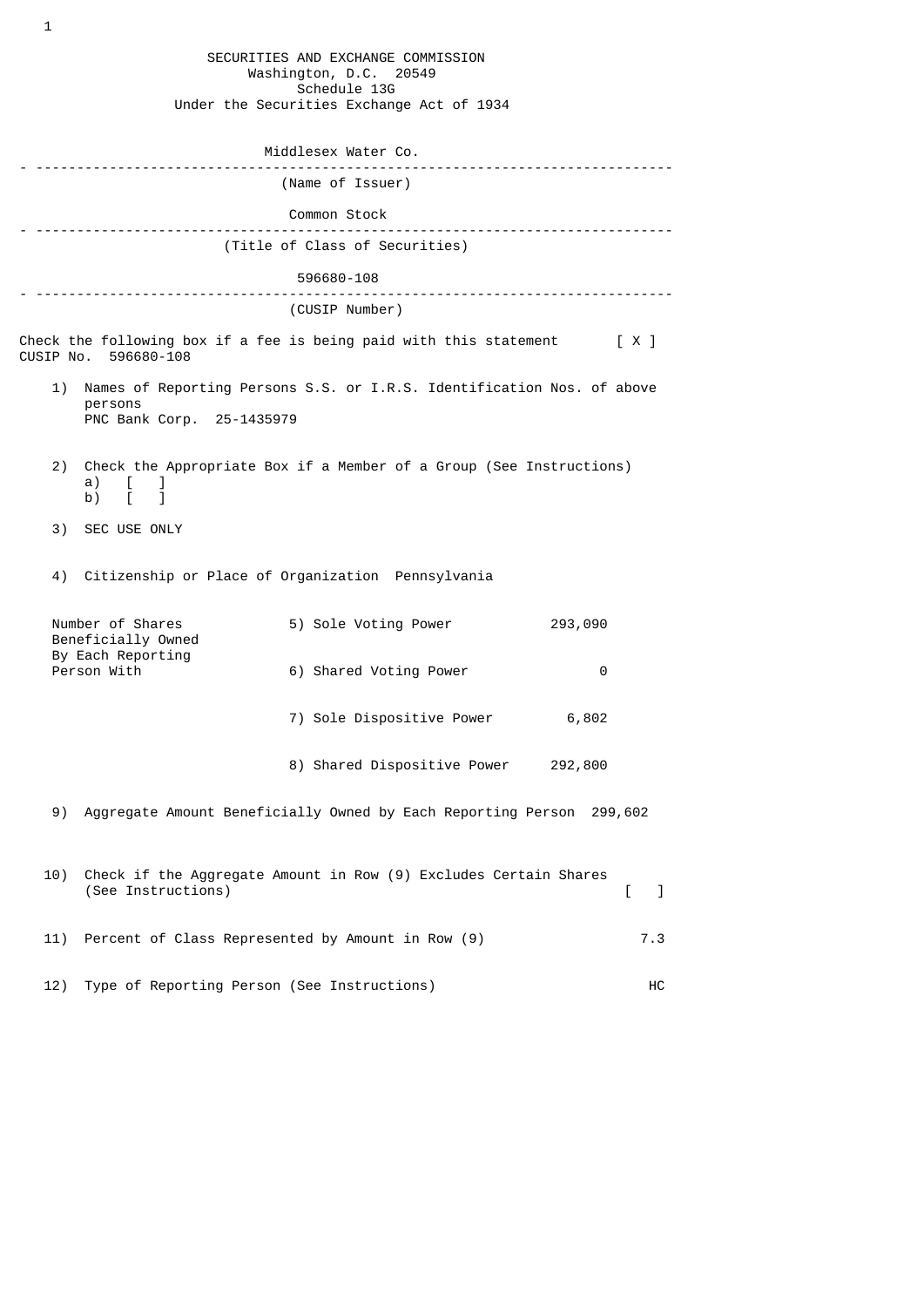SECURITIES AND EXCHANGE COMMISSION Washington, D.C. 20549 Schedule 13G Under the Securities Exchange Act of 1934 Middlesex Water Co. - ------------------------------------------------------------------------------ (Name of Issuer) Common Stock - ------------------------------------------------------------------------------ (Title of Class of Securities) 596680-108 - ------------------------------------------------------------------------------ (CUSIP Number) Check the following box if a fee is being paid with this statement  $[X]$ CUSIP No. 596680-108 1) Names of Reporting Persons S.S. or I.R.S. Identification Nos. of above persons PNC Bank Corp. 25-1435979 2) Check the Appropriate Box if a Member of a Group (See Instructions) a) [ ]<br>b) [ ]  $\overline{b}$ ) 3) SEC USE ONLY 4) Citizenship or Place of Organization Pennsylvania Number of Shares 5) Sole Voting Power 293,090 Beneficially Owned By Each Reporting<br>Person With 6) Shared Voting Power 0 7) Sole Dispositive Power 6,802 8) Shared Dispositive Power 292,800 9) Aggregate Amount Beneficially Owned by Each Reporting Person 299,602 10) Check if the Aggregate Amount in Row (9) Excludes Certain Shares (See Instructions) [ ] 11) Percent of Class Represented by Amount in Row (9) 7.3 12) Type of Reporting Person (See Instructions) HC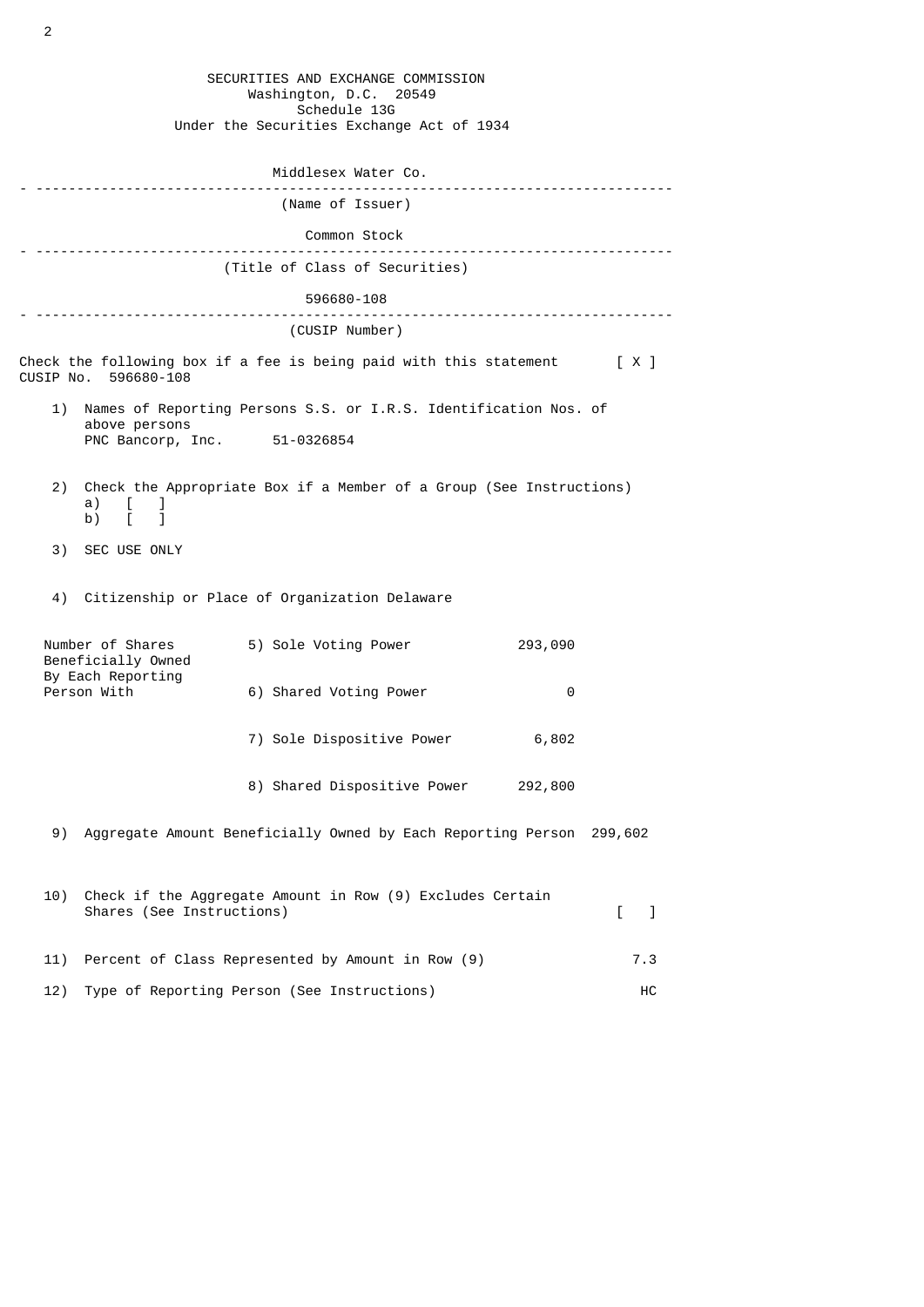| SECURITIES AND EXCHANGE COMMISSION<br>Washington, D.C. 20549<br>Schedule 13G                       |                                                                                   |                                                                          |         |     |  |  |  |
|----------------------------------------------------------------------------------------------------|-----------------------------------------------------------------------------------|--------------------------------------------------------------------------|---------|-----|--|--|--|
|                                                                                                    |                                                                                   | Under the Securities Exchange Act of 1934                                |         |     |  |  |  |
| Middlesex Water Co.                                                                                |                                                                                   |                                                                          |         |     |  |  |  |
|                                                                                                    | (Name of Issuer)                                                                  |                                                                          |         |     |  |  |  |
| Common Stock                                                                                       |                                                                                   |                                                                          |         |     |  |  |  |
|                                                                                                    | ---------------------------<br>(Title of Class of Securities)                     |                                                                          |         |     |  |  |  |
|                                                                                                    |                                                                                   | 596680-108                                                               |         |     |  |  |  |
|                                                                                                    |                                                                                   | (CUSIP Number)                                                           |         |     |  |  |  |
|                                                                                                    | CUSIP No. 596680-108                                                              | Check the following box if a fee is being paid with this statement $[X]$ |         |     |  |  |  |
| 1)                                                                                                 | Names of Reporting Persons S.S. or I.R.S. Identification Nos. of<br>above persons |                                                                          |         |     |  |  |  |
|                                                                                                    | PNC Bancorp, Inc. 51-0326854                                                      |                                                                          |         |     |  |  |  |
| 2)                                                                                                 | a)<br>$\mathbf{L}$<br>J<br>b) $\overline{1}$                                      | Check the Appropriate Box if a Member of a Group (See Instructions)      |         |     |  |  |  |
|                                                                                                    | 3) SEC USE ONLY                                                                   |                                                                          |         |     |  |  |  |
|                                                                                                    |                                                                                   | 4) Citizenship or Place of Organization Delaware                         |         |     |  |  |  |
| Number of Shares<br>Beneficially Owned<br>By Each Reporting<br>Person With                         |                                                                                   | 5) Sole Voting Power                                                     | 293,090 |     |  |  |  |
|                                                                                                    |                                                                                   | 6) Shared Voting Power                                                   | 0       |     |  |  |  |
|                                                                                                    |                                                                                   | 7) Sole Dispositive Power                                                | 6,802   |     |  |  |  |
|                                                                                                    |                                                                                   | 8) Shared Dispositive Power                                              | 292,800 |     |  |  |  |
| 9)                                                                                                 |                                                                                   | Aggregate Amount Beneficially Owned by Each Reporting Person 299,602     |         |     |  |  |  |
| Check if the Aggregate Amount in Row (9) Excludes Certain<br>10)<br>Shares (See Instructions)<br>L |                                                                                   |                                                                          |         | -1  |  |  |  |
| 11)                                                                                                |                                                                                   | Percent of Class Represented by Amount in Row (9)                        |         | 7.3 |  |  |  |
| 12)                                                                                                |                                                                                   | Type of Reporting Person (See Instructions)                              |         | HC  |  |  |  |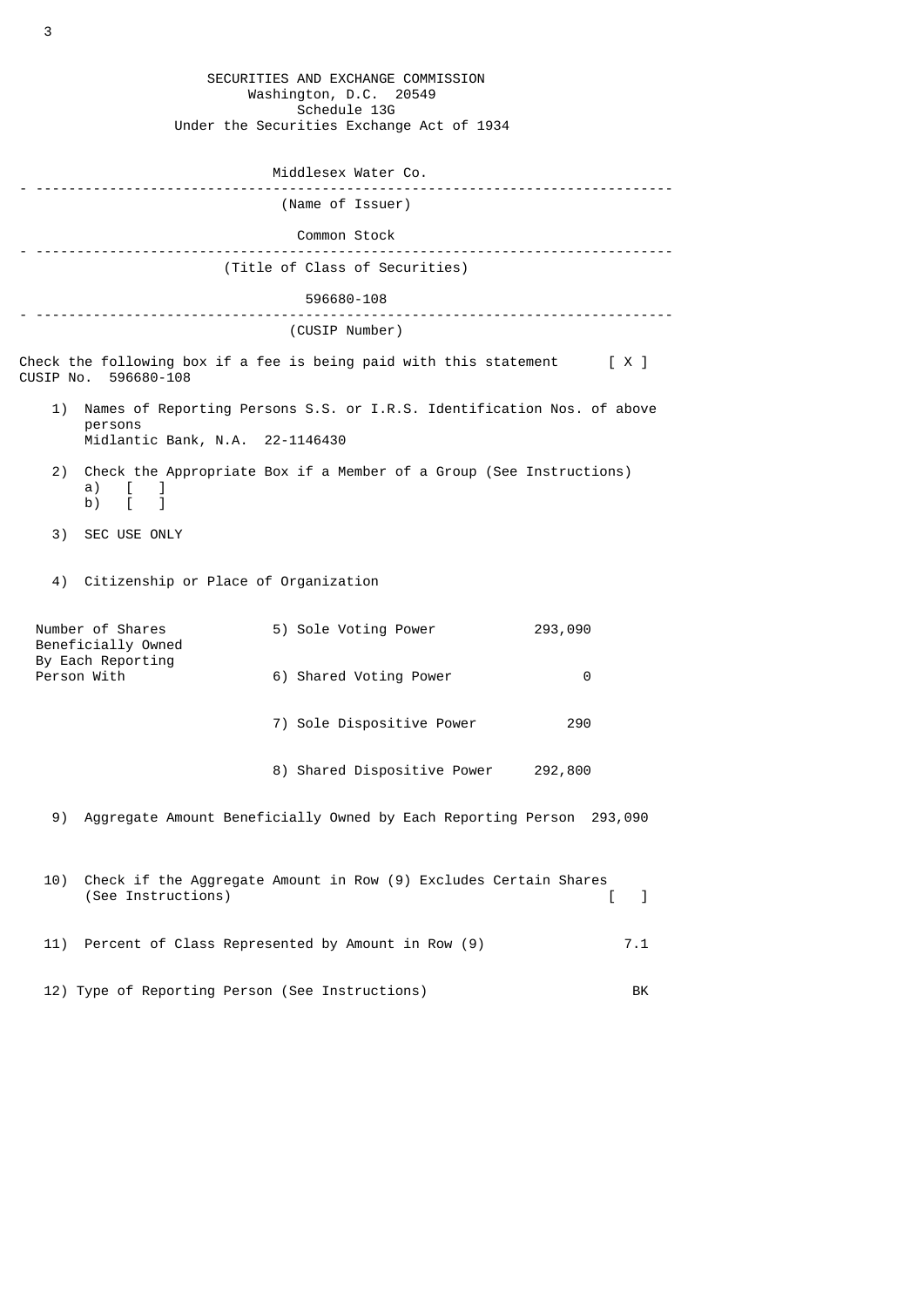|                                        |                                                       | SECURITIES AND EXCHANGE COMMISSION<br>Washington, D.C. 20549             |                               |
|----------------------------------------|-------------------------------------------------------|--------------------------------------------------------------------------|-------------------------------|
|                                        |                                                       | Schedule 13G<br>Under the Securities Exchange Act of 1934                |                               |
|                                        |                                                       | Middlesex Water Co.                                                      |                               |
|                                        |                                                       | (Name of Issuer)                                                         |                               |
|                                        |                                                       | Common Stock                                                             |                               |
|                                        |                                                       | (Title of Class of Securities)                                           |                               |
|                                        |                                                       | 596680-108                                                               |                               |
|                                        |                                                       | (CUSIP Number)                                                           |                               |
|                                        | CUSIP No. 596680-108                                  | Check the following box if a fee is being paid with this statement $[X]$ |                               |
| 1)                                     | persons<br>Midlantic Bank, N.A. 22-1146430            | Names of Reporting Persons S.S. or I.R.S. Identification Nos. of above   |                               |
| 2)                                     | a)<br>I.<br>b) $\begin{bmatrix} 1 \\ 1 \end{bmatrix}$ | Check the Appropriate Box if a Member of a Group (See Instructions)      |                               |
| 3)                                     | SEC USE ONLY                                          |                                                                          |                               |
|                                        | 4) Citizenship or Place of Organization               |                                                                          |                               |
| Number of Shares<br>Beneficially Owned |                                                       | 5) Sole Voting Power                                                     | 293,090                       |
|                                        | By Each Reporting<br>Person With                      | 6) Shared Voting Power                                                   | 0                             |
|                                        |                                                       | 7) Sole Dispositive Power                                                | 290                           |
|                                        |                                                       | 8) Shared Dispositive Power                                              | 292,800                       |
| 9)                                     |                                                       | Aggregate Amount Beneficially Owned by Each Reporting Person 293,090     |                               |
| 10)                                    | (See Instructions)                                    | Check if the Aggregate Amount in Row (9) Excludes Certain Shares         | $\overline{\phantom{a}}$<br>L |
| 11)                                    |                                                       | Percent of Class Represented by Amount in Row (9)                        | 7.1                           |
|                                        |                                                       | 12) Type of Reporting Person (See Instructions)                          | BK                            |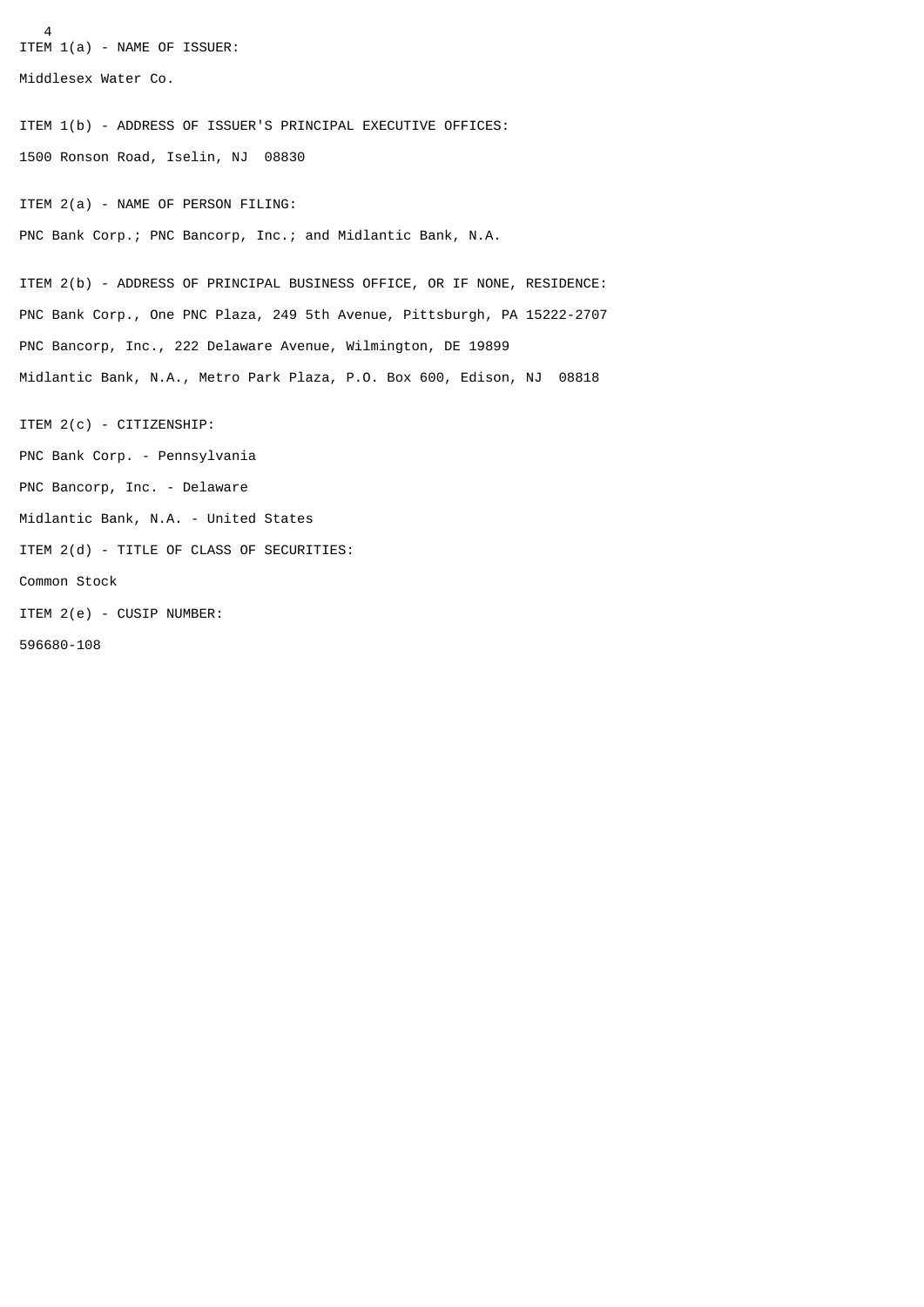4 ITEM 1(a) - NAME OF ISSUER: Middlesex Water Co. ITEM 1(b) - ADDRESS OF ISSUER'S PRINCIPAL EXECUTIVE OFFICES: 1500 Ronson Road, Iselin, NJ 08830 ITEM 2(a) - NAME OF PERSON FILING: PNC Bank Corp.; PNC Bancorp, Inc.; and Midlantic Bank, N.A. ITEM 2(b) - ADDRESS OF PRINCIPAL BUSINESS OFFICE, OR IF NONE, RESIDENCE: PNC Bank Corp., One PNC Plaza, 249 5th Avenue, Pittsburgh, PA 15222-2707 PNC Bancorp, Inc., 222 Delaware Avenue, Wilmington, DE 19899 Midlantic Bank, N.A., Metro Park Plaza, P.O. Box 600, Edison, NJ 08818 ITEM 2(c) - CITIZENSHIP: PNC Bank Corp. - Pennsylvania PNC Bancorp, Inc. - Delaware Midlantic Bank, N.A. - United States ITEM 2(d) - TITLE OF CLASS OF SECURITIES: Common Stock ITEM 2(e) - CUSIP NUMBER: 596680-108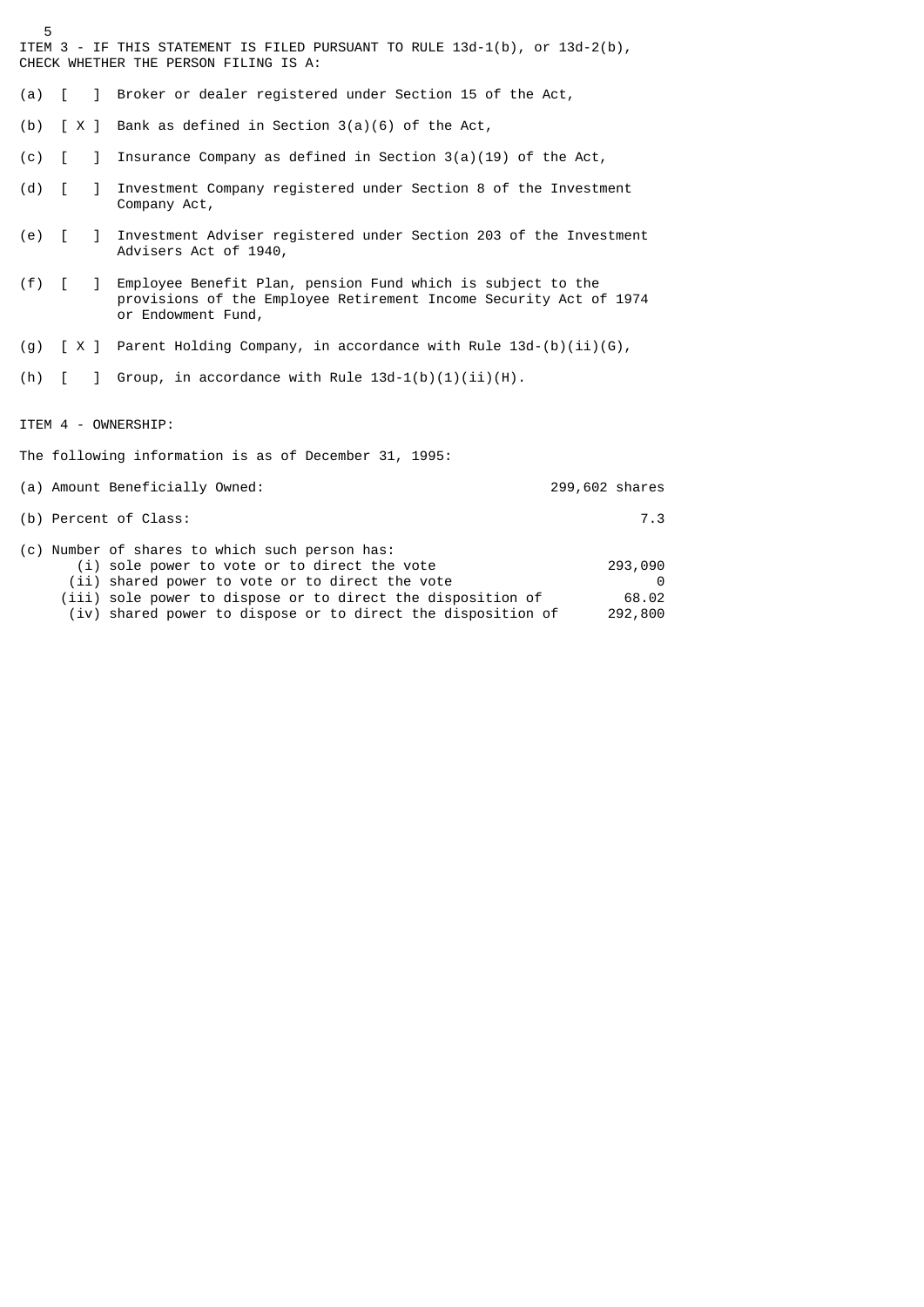ITEM 3 - IF THIS STATEMENT IS FILED PURSUANT TO RULE 13d-1(b), or 13d-2(b), CHECK WHETHER THE PERSON FILING IS A:

- (a) [ ] Broker or dealer registered under Section 15 of the Act,
- (b)  $\lceil X \rceil$  Bank as defined in Section 3(a)(6) of the Act,
- (c) [ ] Insurance Company as defined in Section 3(a)(19) of the Act,
- (d) [ ] Investment Company registered under Section 8 of the Investment Company Act,
- (e) [ ] Investment Adviser registered under Section 203 of the Investment Advisers Act of 1940,
- (f) [ ] Employee Benefit Plan, pension Fund which is subject to the provisions of the Employee Retirement Income Security Act of 1974 or Endowment Fund,
- (g)  $[X]$  Parent Holding Company, in accordance with Rule 13d-(b)(ii)(G),
- (h)  $[$  ] Group, in accordance with Rule  $13d-1(b)(1)(ii)(H)$ .

ITEM 4 - OWNERSHIP:

5

The following information is as of December 31, 1995:

| (a) Amount Beneficially Owned: | 299,602 shares |
|--------------------------------|----------------|
|                                |                |

(b) Percent of Class: 7.3

|  | (c) Number of shares to which such person has:               |         |
|--|--------------------------------------------------------------|---------|
|  | (i) sole power to vote or to direct the vote                 | 293,090 |
|  | (ii) shared power to vote or to direct the vote              | െ       |
|  | (iii) sole power to dispose or to direct the disposition of  | 68.02   |
|  | (iv) shared power to dispose or to direct the disposition of | 292,800 |
|  |                                                              |         |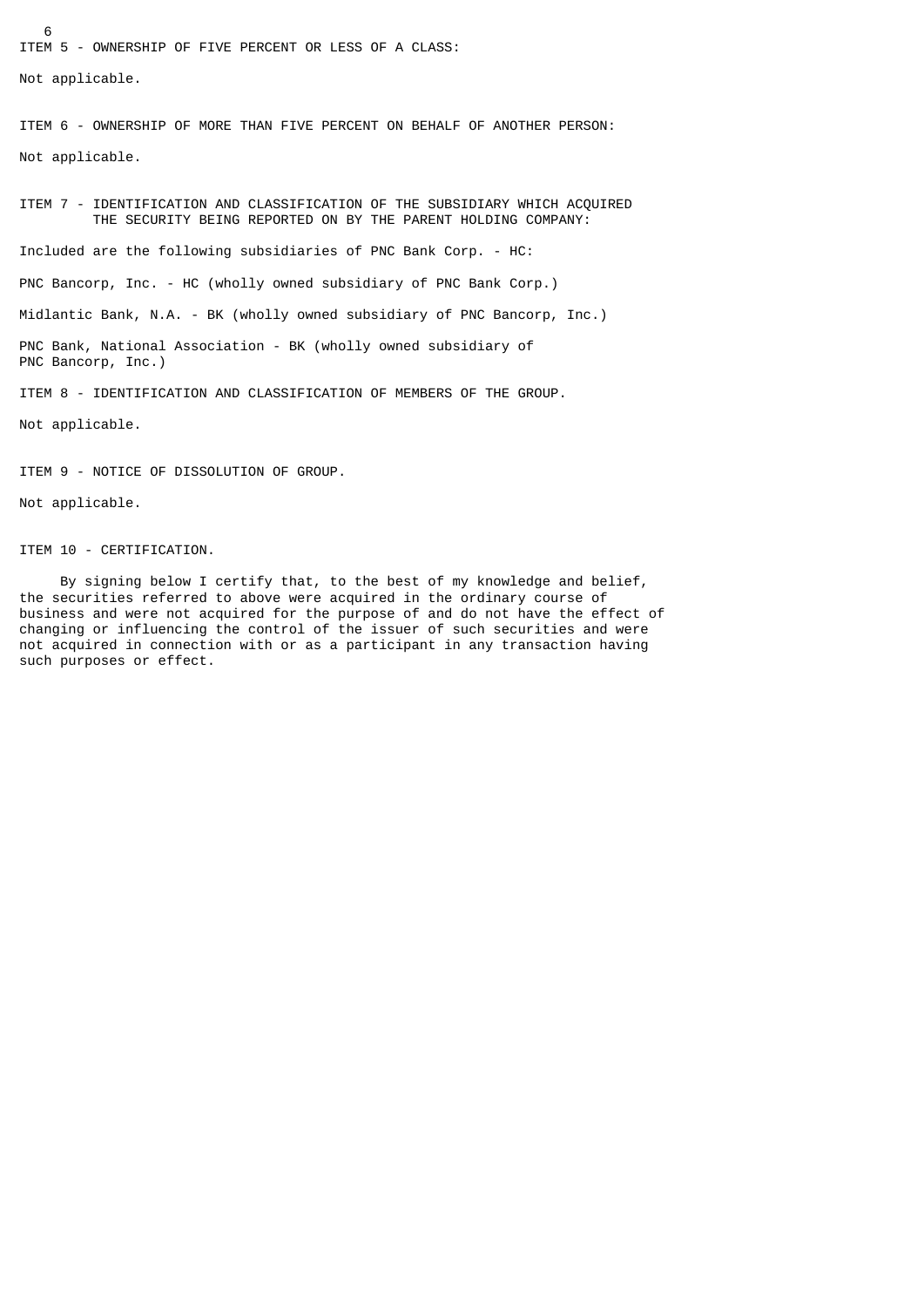6 ITEM 5 - OWNERSHIP OF FIVE PERCENT OR LESS OF A CLASS: Not applicable.

ITEM 6 - OWNERSHIP OF MORE THAN FIVE PERCENT ON BEHALF OF ANOTHER PERSON:

Not applicable.

ITEM 7 - IDENTIFICATION AND CLASSIFICATION OF THE SUBSIDIARY WHICH ACQUIRED THE SECURITY BEING REPORTED ON BY THE PARENT HOLDING COMPANY:

Included are the following subsidiaries of PNC Bank Corp. - HC:

PNC Bancorp, Inc. - HC (wholly owned subsidiary of PNC Bank Corp.)

Midlantic Bank, N.A. - BK (wholly owned subsidiary of PNC Bancorp, Inc.)

PNC Bank, National Association - BK (wholly owned subsidiary of PNC Bancorp, Inc.)

ITEM 8 - IDENTIFICATION AND CLASSIFICATION OF MEMBERS OF THE GROUP.

Not applicable.

ITEM 9 - NOTICE OF DISSOLUTION OF GROUP.

Not applicable.

ITEM 10 - CERTIFICATION.

 By signing below I certify that, to the best of my knowledge and belief, the securities referred to above were acquired in the ordinary course of business and were not acquired for the purpose of and do not have the effect of changing or influencing the control of the issuer of such securities and were not acquired in connection with or as a participant in any transaction having such purposes or effect.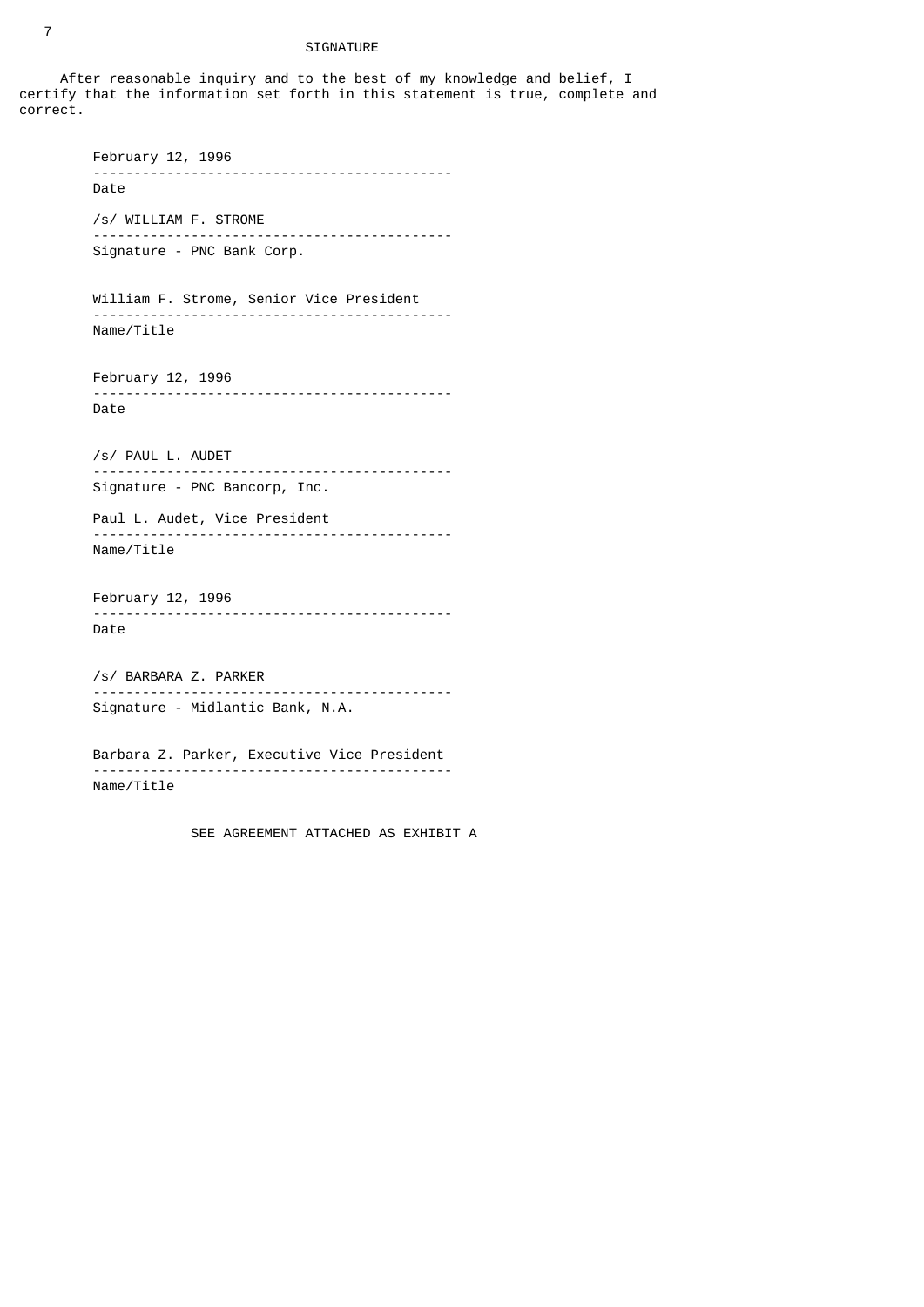## SIGNATURE

After reasonable inquiry and to the best of my knowledge and belief, I certify that the information set forth in this statement is true, complete and correct.

> February 12, 1996 -------------------------------------------- Date /s/ WILLIAM F. STROME -------------------------------------------- Signature - PNC Bank Corp. William F. Strome, Senior Vice President -------------------------------------------- Name/Title February 12, 1996 -------------------------------------------- Date /s/ PAUL L. AUDET -------------------------------------------- Signature - PNC Bancorp, Inc. Paul L. Audet, Vice President -------------------------------------------- Name/Title February 12, 1996 -------------------------------------------- Date /s/ BARBARA Z. PARKER -------------------------------------------- Signature - Midlantic Bank, N.A. Barbara Z. Parker, Executive Vice President -------------------------------------------- Name/Title

> > SEE AGREEMENT ATTACHED AS EXHIBIT A

7